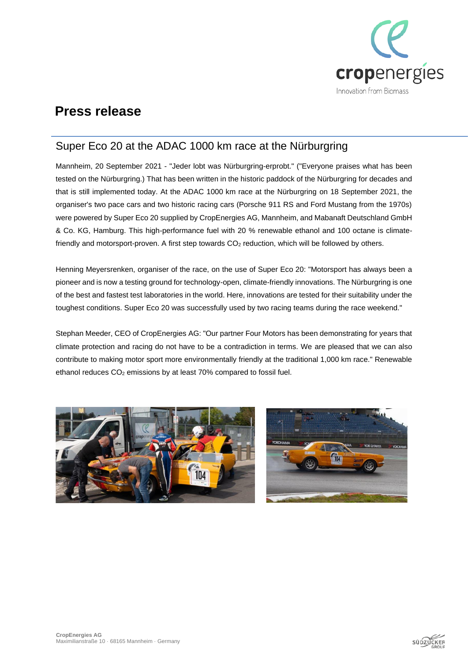

## **Press release**

### Super Eco 20 at the ADAC 1000 km race at the Nürburgring

Mannheim, 20 September 2021 - "Jeder lobt was Nürburgring-erprobt." ("Everyone praises what has been tested on the Nürburgring.) That has been written in the historic paddock of the Nürburgring for decades and that is still implemented today. At the ADAC 1000 km race at the Nürburgring on 18 September 2021, the organiser's two pace cars and two historic racing cars (Porsche 911 RS and Ford Mustang from the 1970s) were powered by Super Eco 20 supplied by CropEnergies AG, Mannheim, and Mabanaft Deutschland GmbH & Co. KG, Hamburg. This high-performance fuel with 20 % renewable ethanol and 100 octane is climatefriendly and motorsport-proven. A first step towards CO<sup>2</sup> reduction, which will be followed by others.

Henning Meyersrenken, organiser of the race, on the use of Super Eco 20: "Motorsport has always been a pioneer and is now a testing ground for technology-open, climate-friendly innovations. The Nürburgring is one of the best and fastest test laboratories in the world. Here, innovations are tested for their suitability under the toughest conditions. Super Eco 20 was successfully used by two racing teams during the race weekend."

Stephan Meeder, CEO of CropEnergies AG: "Our partner Four Motors has been demonstrating for years that climate protection and racing do not have to be a contradiction in terms. We are pleased that we can also contribute to making motor sport more environmentally friendly at the traditional 1,000 km race." Renewable ethanol reduces CO<sub>2</sub> emissions by at least 70% compared to fossil fuel.